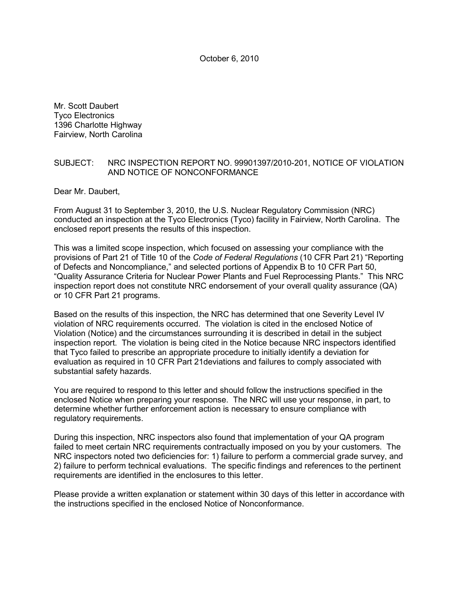October 6, 2010

Mr. Scott Daubert Tyco Electronics 1396 Charlotte Highway Fairview, North Carolina

## SUBJECT: NRC INSPECTION REPORT NO. 99901397/2010-201, NOTICE OF VIOLATION AND NOTICE OF NONCONFORMANCE

Dear Mr. Daubert,

From August 31 to September 3, 2010, the U.S. Nuclear Regulatory Commission (NRC) conducted an inspection at the Tyco Electronics (Tyco) facility in Fairview, North Carolina. The enclosed report presents the results of this inspection.

This was a limited scope inspection, which focused on assessing your compliance with the provisions of Part 21 of Title 10 of the *Code of Federal Regulations* (10 CFR Part 21) "Reporting of Defects and Noncompliance," and selected portions of Appendix B to 10 CFR Part 50, "Quality Assurance Criteria for Nuclear Power Plants and Fuel Reprocessing Plants." This NRC inspection report does not constitute NRC endorsement of your overall quality assurance (QA) or 10 CFR Part 21 programs.

Based on the results of this inspection, the NRC has determined that one Severity Level IV violation of NRC requirements occurred. The violation is cited in the enclosed Notice of Violation (Notice) and the circumstances surrounding it is described in detail in the subject inspection report. The violation is being cited in the Notice because NRC inspectors identified that Tyco failed to prescribe an appropriate procedure to initially identify a deviation for evaluation as required in 10 CFR Part 21deviations and failures to comply associated with substantial safety hazards.

You are required to respond to this letter and should follow the instructions specified in the enclosed Notice when preparing your response. The NRC will use your response, in part, to determine whether further enforcement action is necessary to ensure compliance with regulatory requirements.

During this inspection, NRC inspectors also found that implementation of your QA program failed to meet certain NRC requirements contractually imposed on you by your customers. The NRC inspectors noted two deficiencies for: 1) failure to perform a commercial grade survey, and 2) failure to perform technical evaluations. The specific findings and references to the pertinent requirements are identified in the enclosures to this letter.

Please provide a written explanation or statement within 30 days of this letter in accordance with the instructions specified in the enclosed Notice of Nonconformance.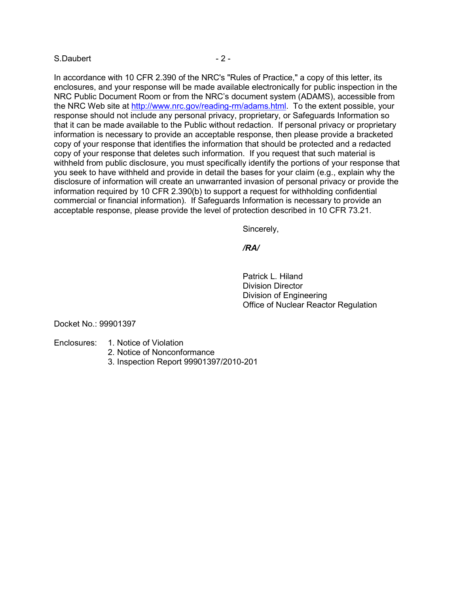## S.Daubert - 2 -

In accordance with 10 CFR 2.390 of the NRC's "Rules of Practice," a copy of this letter, its enclosures, and your response will be made available electronically for public inspection in the NRC Public Document Room or from the NRC's document system (ADAMS), accessible from the NRC Web site at http://www.nrc.gov/reading-rm/adams.html. To the extent possible, your response should not include any personal privacy, proprietary, or Safeguards Information so that it can be made available to the Public without redaction. If personal privacy or proprietary information is necessary to provide an acceptable response, then please provide a bracketed copy of your response that identifies the information that should be protected and a redacted copy of your response that deletes such information. If you request that such material is withheld from public disclosure, you must specifically identify the portions of your response that you seek to have withheld and provide in detail the bases for your claim (e.g., explain why the disclosure of information will create an unwarranted invasion of personal privacy or provide the information required by 10 CFR 2.390(b) to support a request for withholding confidential commercial or financial information). If Safeguards Information is necessary to provide an acceptable response, please provide the level of protection described in 10 CFR 73.21.

Sincerely,

*/RA/* 

 Patrick L. Hiland Division Director Division of Engineering Office of Nuclear Reactor Regulation

Docket No.: 99901397

- Enclosures: 1. Notice of Violation
	- 2. Notice of Nonconformance
	- 3. Inspection Report 99901397/2010-201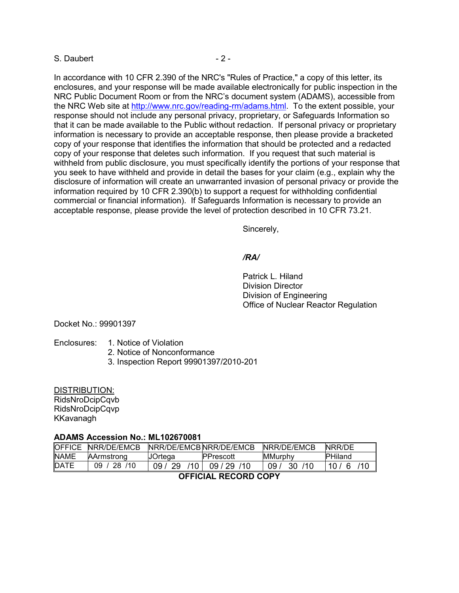## S. Daubert - 2 -

In accordance with 10 CFR 2.390 of the NRC's "Rules of Practice," a copy of this letter, its enclosures, and your response will be made available electronically for public inspection in the NRC Public Document Room or from the NRC's document system (ADAMS), accessible from the NRC Web site at http://www.nrc.gov/reading-rm/adams.html. To the extent possible, your response should not include any personal privacy, proprietary, or Safeguards Information so that it can be made available to the Public without redaction. If personal privacy or proprietary information is necessary to provide an acceptable response, then please provide a bracketed copy of your response that identifies the information that should be protected and a redacted copy of your response that deletes such information. If you request that such material is withheld from public disclosure, you must specifically identify the portions of your response that you seek to have withheld and provide in detail the bases for your claim (e.g., explain why the disclosure of information will create an unwarranted invasion of personal privacy or provide the information required by 10 CFR 2.390(b) to support a request for withholding confidential commercial or financial information). If Safeguards Information is necessary to provide an acceptable response, please provide the level of protection described in 10 CFR 73.21.

Sincerely,

### */RA/*

 Patrick L. Hiland Division Director Division of Engineering Office of Nuclear Reactor Regulation

Docket No.: 99901397

### Enclosures: 1. Notice of Violation

- 2. Notice of Nonconformance
- 3. Inspection Report 99901397/2010-201

DISTRIBUTION:

RidsNroDcipCqvb RidsNroDcipCqvp KKavanagh

#### **ADAMS Accession No.: ML102670081**

| <b>OFFICE</b>        | NRR/DF/FMCB       | NRR/DE/EMCBNRR/DE/EMCB          |                  | NRR/DE/EMCB     | NRR/DE         |
|----------------------|-------------------|---------------------------------|------------------|-----------------|----------------|
| <b>NAME</b>          | <b>AArmstrong</b> | UOrtega                         | <b>PPrescott</b> | <b>MMurphy</b>  | <b>PHiland</b> |
| <b>DATE</b>          | -28<br>/10<br>n9. | -29<br>110 <sub>1</sub><br>09 L | 110<br>09/29     | /10<br>09<br>30 | 10 $/$         |
| AFFICIAL BECARD CODY |                   |                                 |                  |                 |                |

## **OFFICIAL RECORD COPY**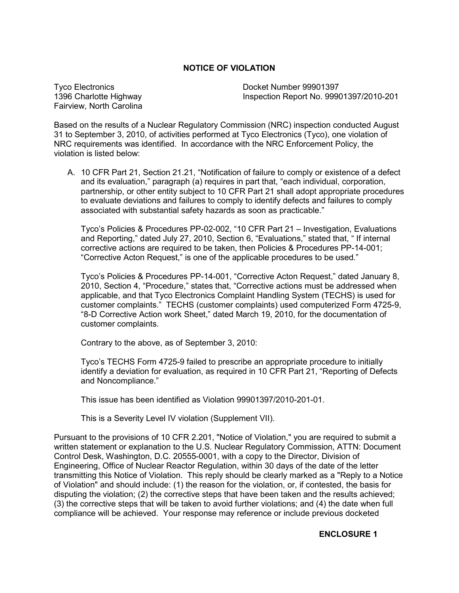# **NOTICE OF VIOLATION**

Tyco Electronics 1396 Charlotte Highway Fairview, North Carolina Docket Number 99901397 Inspection Report No. 99901397/2010-201

Based on the results of a Nuclear Regulatory Commission (NRC) inspection conducted August 31 to September 3, 2010, of activities performed at Tyco Electronics (Tyco), one violation of NRC requirements was identified. In accordance with the NRC Enforcement Policy, the violation is listed below:

A. 10 CFR Part 21, Section 21.21, "Notification of failure to comply or existence of a defect and its evaluation," paragraph (a) requires in part that, "each individual, corporation, partnership, or other entity subject to 10 CFR Part 21 shall adopt appropriate procedures to evaluate deviations and failures to comply to identify defects and failures to comply associated with substantial safety hazards as soon as practicable."

Tyco's Policies & Procedures PP-02-002, "10 CFR Part 21 – Investigation, Evaluations and Reporting," dated July 27, 2010, Section 6, "Evaluations," stated that, " If internal corrective actions are required to be taken, then Policies & Procedures PP-14-001; "Corrective Acton Request," is one of the applicable procedures to be used."

Tyco's Policies & Procedures PP-14-001, "Corrective Acton Request," dated January 8, 2010, Section 4, "Procedure," states that, "Corrective actions must be addressed when applicable, and that Tyco Electronics Complaint Handling System (TECHS) is used for customer complaints." TECHS (customer complaints) used computerized Form 4725-9, "8-D Corrective Action work Sheet," dated March 19, 2010, for the documentation of customer complaints.

Contrary to the above, as of September 3, 2010:

Tyco's TECHS Form 4725-9 failed to prescribe an appropriate procedure to initially identify a deviation for evaluation, as required in 10 CFR Part 21, "Reporting of Defects and Noncompliance."

This issue has been identified as Violation 99901397/2010-201-01.

This is a Severity Level IV violation (Supplement VII).

Pursuant to the provisions of 10 CFR 2.201, "Notice of Violation," you are required to submit a written statement or explanation to the U.S. Nuclear Regulatory Commission, ATTN: Document Control Desk, Washington, D.C. 20555-0001, with a copy to the Director, Division of Engineering, Office of Nuclear Reactor Regulation, within 30 days of the date of the letter transmitting this Notice of Violation. This reply should be clearly marked as a "Reply to a Notice of Violation" and should include: (1) the reason for the violation, or, if contested, the basis for disputing the violation; (2) the corrective steps that have been taken and the results achieved; (3) the corrective steps that will be taken to avoid further violations; and (4) the date when full compliance will be achieved. Your response may reference or include previous docketed

# **ENCLOSURE 1**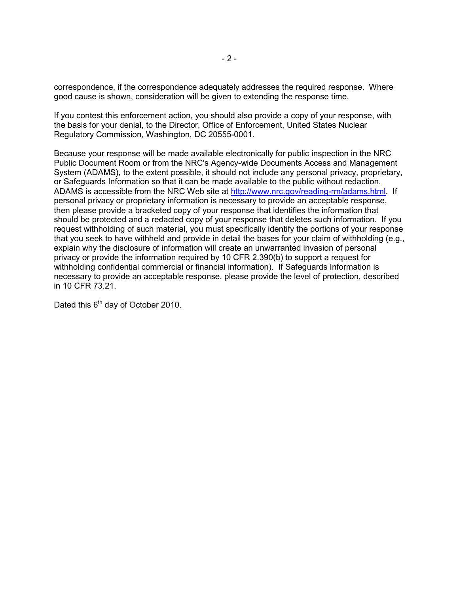correspondence, if the correspondence adequately addresses the required response. Where good cause is shown, consideration will be given to extending the response time.

If you contest this enforcement action, you should also provide a copy of your response, with the basis for your denial, to the Director, Office of Enforcement, United States Nuclear Regulatory Commission, Washington, DC 20555-0001.

Because your response will be made available electronically for public inspection in the NRC Public Document Room or from the NRC's Agency-wide Documents Access and Management System (ADAMS), to the extent possible, it should not include any personal privacy, proprietary, or Safeguards Information so that it can be made available to the public without redaction. ADAMS is accessible from the NRC Web site at http://www.nrc.gov/reading-rm/adams.html. If personal privacy or proprietary information is necessary to provide an acceptable response, then please provide a bracketed copy of your response that identifies the information that should be protected and a redacted copy of your response that deletes such information. If you request withholding of such material, you must specifically identify the portions of your response that you seek to have withheld and provide in detail the bases for your claim of withholding (e.g., explain why the disclosure of information will create an unwarranted invasion of personal privacy or provide the information required by 10 CFR 2.390(b) to support a request for withholding confidential commercial or financial information). If Safeguards Information is necessary to provide an acceptable response, please provide the level of protection, described in 10 CFR 73.21.

Dated this 6<sup>th</sup> day of October 2010.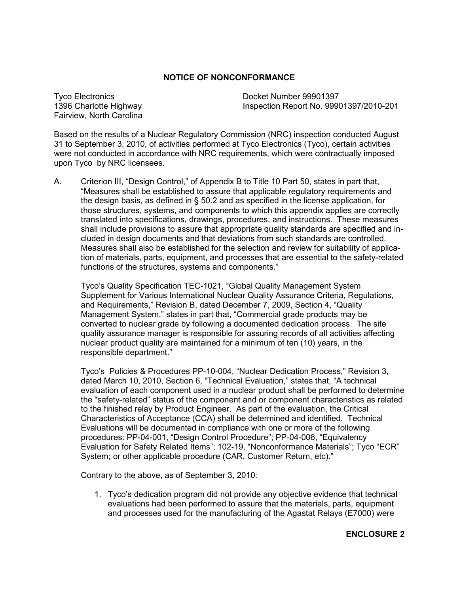# **NOTICE OF NONCONFORMANCE**

Tyco Electronics 1396 Charlotte Highway Fairview, North Carolina Docket Number 99901397 Inspection Report No. 99901397/2010-201

Based on the results of a Nuclear Regulatory Commission (NRC) inspection conducted August 31 to September 3, 2010, of activities performed at Tyco Electronics (Tyco), certain activities were not conducted in accordance with NRC requirements, which were contractually imposed upon Tyco by NRC licensees.

A. Criterion III, "Design Control," of Appendix B to Title 10 Part 50, states in part that, "Measures shall be established to assure that applicable regulatory requirements and the design basis, as defined in § 50.2 and as specified in the license application, for those structures, systems, and components to which this appendix applies are correctly translated into specifications, drawings, procedures, and instructions. These measures shall include provisions to assure that appropriate quality standards are specified and included in design documents and that deviations from such standards are controlled. Measures shall also be established for the selection and review for suitability of application of materials, parts, equipment, and processes that are essential to the safety-related functions of the structures, systems and components."

Tyco's Quality Specification TEC-1021, "Global Quality Management System Supplement for Various International Nuclear Quality Assurance Criteria, Regulations, and Requirements," Revision B, dated December 7, 2009, Section 4, "Quality Management System," states in part that, "Commercial grade products may be converted to nuclear grade by following a documented dedication process. The site quality assurance manager is responsible for assuring records of all activities affecting nuclear product quality are maintained for a minimum of ten (10) years, in the responsible department."

Tyco's Policies & Procedures PP-10-004, "Nuclear Dedication Process," Revision 3, dated March 10, 2010, Section 6, "Technical Evaluation," states that, "A technical evaluation of each component used in a nuclear product shall be performed to determine the "safety-related" status of the component and or component characteristics as related to the finished relay by Product Engineer. As part of the evaluation, the Critical Characteristics of Acceptance (CCA) shall be determined and identified. Technical Evaluations will be documented in compliance with one or more of the following procedures: PP-04-001, "Design Control Procedure"; PP-04-006, "Equivalency Evaluation for Safety Related Items"; 102-19, "Nonconformance Materials"; Tyco "ECR" System; or other applicable procedure (CAR, Customer Return, etc)."

Contrary to the above, as of September 3, 2010:

1. Tyco's dedication program did not provide any objective evidence that technical evaluations had been performed to assure that the materials, parts, equipment and processes used for the manufacturing of the Agastat Relays (E7000) were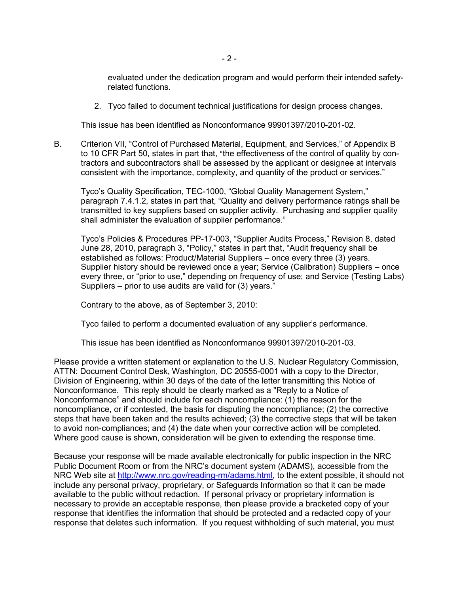evaluated under the dedication program and would perform their intended safetyrelated functions.

2. Tyco failed to document technical justifications for design process changes.

This issue has been identified as Nonconformance 99901397/2010-201-02.

B. Criterion VII, "Control of Purchased Material, Equipment, and Services," of Appendix B to 10 CFR Part 50, states in part that, "the effectiveness of the control of quality by contractors and subcontractors shall be assessed by the applicant or designee at intervals consistent with the importance, complexity, and quantity of the product or services."

Tyco's Quality Specification, TEC-1000, "Global Quality Management System," paragraph 7.4.1.2, states in part that, "Quality and delivery performance ratings shall be transmitted to key suppliers based on supplier activity. Purchasing and supplier quality shall administer the evaluation of supplier performance."

Tyco's Policies & Procedures PP-17-003, "Supplier Audits Process," Revision 8, dated June 28, 2010, paragraph 3, "Policy," states in part that, "Audit frequency shall be established as follows: Product/Material Suppliers – once every three (3) years. Supplier history should be reviewed once a year; Service (Calibration) Suppliers – once every three, or "prior to use," depending on frequency of use; and Service (Testing Labs) Suppliers – prior to use audits are valid for (3) years."

Contrary to the above, as of September 3, 2010:

Tyco failed to perform a documented evaluation of any supplier's performance.

This issue has been identified as Nonconformance 99901397/2010-201-03.

Please provide a written statement or explanation to the U.S. Nuclear Regulatory Commission, ATTN: Document Control Desk, Washington, DC 20555-0001 with a copy to the Director, Division of Engineering, within 30 days of the date of the letter transmitting this Notice of Nonconformance. This reply should be clearly marked as a "Reply to a Notice of Nonconformance" and should include for each noncompliance: (1) the reason for the noncompliance, or if contested, the basis for disputing the noncompliance; (2) the corrective steps that have been taken and the results achieved; (3) the corrective steps that will be taken to avoid non-compliances; and (4) the date when your corrective action will be completed. Where good cause is shown, consideration will be given to extending the response time.

Because your response will be made available electronically for public inspection in the NRC Public Document Room or from the NRC's document system (ADAMS), accessible from the NRC Web site at http://www.nrc.gov/reading-rm/adams.html, to the extent possible, it should not include any personal privacy, proprietary, or Safeguards Information so that it can be made available to the public without redaction. If personal privacy or proprietary information is necessary to provide an acceptable response, then please provide a bracketed copy of your response that identifies the information that should be protected and a redacted copy of your response that deletes such information. If you request withholding of such material, you must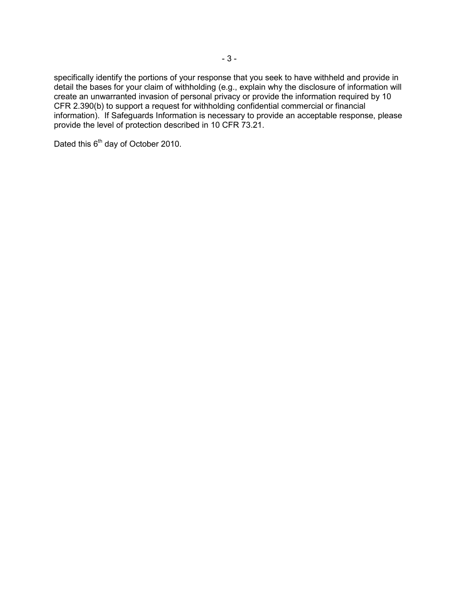specifically identify the portions of your response that you seek to have withheld and provide in detail the bases for your claim of withholding (e.g., explain why the disclosure of information will create an unwarranted invasion of personal privacy or provide the information required by 10 CFR 2.390(b) to support a request for withholding confidential commercial or financial information). If Safeguards Information is necessary to provide an acceptable response, please provide the level of protection described in 10 CFR 73.21.

Dated this 6<sup>th</sup> day of October 2010.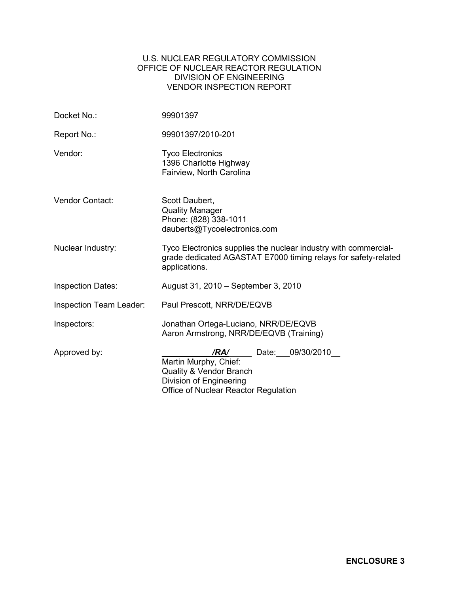# U.S. NUCLEAR REGULATORY COMMISSION OFFICE OF NUCLEAR REACTOR REGULATION DIVISION OF ENGINEERING VENDOR INSPECTION REPORT

| Docket No.:              | 99901397                                                                                                                                           |  |
|--------------------------|----------------------------------------------------------------------------------------------------------------------------------------------------|--|
| Report No.:              | 99901397/2010-201                                                                                                                                  |  |
| Vendor:                  | <b>Tyco Electronics</b><br>1396 Charlotte Highway<br>Fairview, North Carolina                                                                      |  |
| Vendor Contact:          | Scott Daubert,<br><b>Quality Manager</b><br>Phone: (828) 338-1011<br>dauberts@Tycoelectronics.com                                                  |  |
| Nuclear Industry:        | Tyco Electronics supplies the nuclear industry with commercial-<br>grade dedicated AGASTAT E7000 timing relays for safety-related<br>applications. |  |
| <b>Inspection Dates:</b> | August 31, 2010 – September 3, 2010                                                                                                                |  |
| Inspection Team Leader:  | Paul Prescott, NRR/DE/EQVB                                                                                                                         |  |
| Inspectors:              | Jonathan Ortega-Luciano, NRR/DE/EQVB<br>Aaron Armstrong, NRR/DE/EQVB (Training)                                                                    |  |
| Approved by:             | Date: 09/30/2010<br>/RA/<br>Martin Murphy, Chief:<br>Quality & Vendor Branch<br>Division of Engineering<br>Office of Nuclear Reactor Regulation    |  |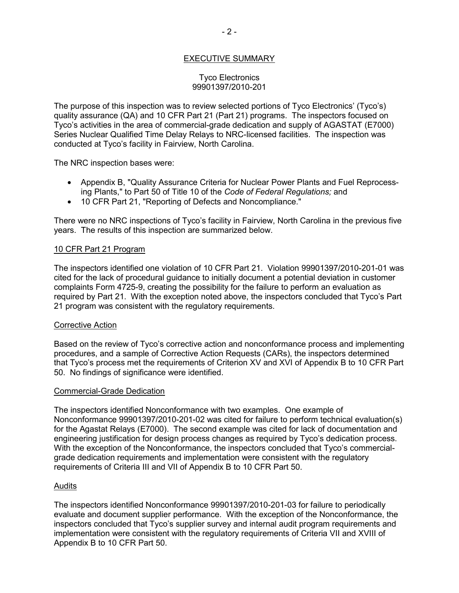# EXECUTIVE SUMMARY

## Tyco Electronics 99901397/2010-201

The purpose of this inspection was to review selected portions of Tyco Electronics' (Tyco's) quality assurance (QA) and 10 CFR Part 21 (Part 21) programs. The inspectors focused on Tyco's activities in the area of commercial-grade dedication and supply of AGASTAT (E7000) Series Nuclear Qualified Time Delay Relays to NRC-licensed facilities. The inspection was conducted at Tyco's facility in Fairview, North Carolina.

The NRC inspection bases were:

- Appendix B, "Quality Assurance Criteria for Nuclear Power Plants and Fuel Reprocessing Plants," to Part 50 of Title 10 of the *Code of Federal Regulations;* and
- 10 CFR Part 21, "Reporting of Defects and Noncompliance."

There were no NRC inspections of Tyco's facility in Fairview, North Carolina in the previous five years. The results of this inspection are summarized below.

## 10 CFR Part 21 Program

The inspectors identified one violation of 10 CFR Part 21. Violation 99901397/2010-201-01 was cited for the lack of procedural guidance to initially document a potential deviation in customer complaints Form 4725-9, creating the possibility for the failure to perform an evaluation as required by Part 21. With the exception noted above, the inspectors concluded that Tyco's Part 21 program was consistent with the regulatory requirements.

## Corrective Action

Based on the review of Tyco's corrective action and nonconformance process and implementing procedures, and a sample of Corrective Action Requests (CARs), the inspectors determined that Tyco's process met the requirements of Criterion XV and XVI of Appendix B to 10 CFR Part 50. No findings of significance were identified.

## Commercial-Grade Dedication

The inspectors identified Nonconformance with two examples. One example of Nonconformance 99901397/2010-201-02 was cited for failure to perform technical evaluation(s) for the Agastat Relays (E7000). The second example was cited for lack of documentation and engineering justification for design process changes as required by Tyco's dedication process. With the exception of the Nonconformance, the inspectors concluded that Tyco's commercialgrade dedication requirements and implementation were consistent with the regulatory requirements of Criteria III and VII of Appendix B to 10 CFR Part 50.

## Audits

The inspectors identified Nonconformance 99901397/2010-201-03 for failure to periodically evaluate and document supplier performance. With the exception of the Nonconformance, the inspectors concluded that Tyco's supplier survey and internal audit program requirements and implementation were consistent with the regulatory requirements of Criteria VII and XVIII of Appendix B to 10 CFR Part 50.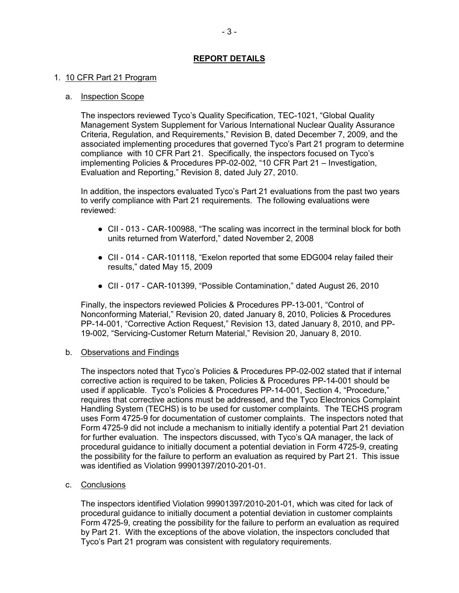# **REPORT DETAILS**

## 1. 10 CFR Part 21 Program

## a. Inspection Scope

The inspectors reviewed Tyco's Quality Specification, TEC-1021, "Global Quality Management System Supplement for Various International Nuclear Quality Assurance Criteria, Regulation, and Requirements," Revision B, dated December 7, 2009, and the associated implementing procedures that governed Tyco's Part 21 program to determine compliance with 10 CFR Part 21. Specifically, the inspectors focused on Tyco's implementing Policies & Procedures PP-02-002, "10 CFR Part 21 – Investigation, Evaluation and Reporting," Revision 8, dated July 27, 2010.

In addition, the inspectors evaluated Tyco's Part 21 evaluations from the past two years to verify compliance with Part 21 requirements. The following evaluations were reviewed:

- CII 013 CAR-100988, "The scaling was incorrect in the terminal block for both units returned from Waterford," dated November 2, 2008
- CII 014 CAR-101118, "Exelon reported that some EDG004 relay failed their results," dated May 15, 2009
- CII 017 CAR-101399, "Possible Contamination," dated August 26, 2010

Finally, the inspectors reviewed Policies & Procedures PP-13-001, "Control of Nonconforming Material," Revision 20, dated January 8, 2010, Policies & Procedures PP-14-001, "Corrective Action Request," Revision 13, dated January 8, 2010, and PP-19-002, "Servicing-Customer Return Material," Revision 20, January 8, 2010.

## b. Observations and Findings

The inspectors noted that Tyco's Policies & Procedures PP-02-002 stated that if internal corrective action is required to be taken, Policies & Procedures PP-14-001 should be used if applicable. Tyco's Policies & Procedures PP-14-001, Section 4, "Procedure," requires that corrective actions must be addressed, and the Tyco Electronics Complaint Handling System (TECHS) is to be used for customer complaints. The TECHS program uses Form 4725-9 for documentation of customer complaints. The inspectors noted that Form 4725-9 did not include a mechanism to initially identify a potential Part 21 deviation for further evaluation. The inspectors discussed, with Tyco's QA manager, the lack of procedural guidance to initially document a potential deviation in Form 4725-9, creating the possibility for the failure to perform an evaluation as required by Part 21. This issue was identified as Violation 99901397/2010-201-01.

# c. Conclusions

The inspectors identified Violation 99901397/2010-201-01, which was cited for lack of procedural guidance to initially document a potential deviation in customer complaints Form 4725-9, creating the possibility for the failure to perform an evaluation as required by Part 21. With the exceptions of the above violation, the inspectors concluded that Tyco's Part 21 program was consistent with regulatory requirements.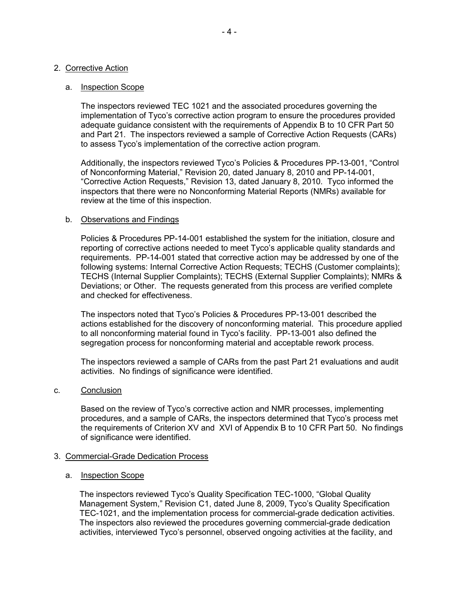## 2. Corrective Action

#### a. Inspection Scope

The inspectors reviewed TEC 1021 and the associated procedures governing the implementation of Tyco's corrective action program to ensure the procedures provided adequate guidance consistent with the requirements of Appendix B to 10 CFR Part 50 and Part 21. The inspectors reviewed a sample of Corrective Action Requests (CARs) to assess Tyco's implementation of the corrective action program.

Additionally, the inspectors reviewed Tyco's Policies & Procedures PP-13-001, "Control of Nonconforming Material," Revision 20, dated January 8, 2010 and PP-14-001, "Corrective Action Requests," Revision 13, dated January 8, 2010. Tyco informed the inspectors that there were no Nonconforming Material Reports (NMRs) available for review at the time of this inspection.

#### b. Observations and Findings

Policies & Procedures PP-14-001 established the system for the initiation, closure and reporting of corrective actions needed to meet Tyco's applicable quality standards and requirements. PP-14-001 stated that corrective action may be addressed by one of the following systems: Internal Corrective Action Requests; TECHS (Customer complaints); TECHS (Internal Supplier Complaints); TECHS (External Supplier Complaints); NMRs & Deviations; or Other. The requests generated from this process are verified complete and checked for effectiveness.

The inspectors noted that Tyco's Policies & Procedures PP-13-001 described the actions established for the discovery of nonconforming material. This procedure applied to all nonconforming material found in Tyco's facility. PP-13-001 also defined the segregation process for nonconforming material and acceptable rework process.

The inspectors reviewed a sample of CARs from the past Part 21 evaluations and audit activities. No findings of significance were identified.

#### c. Conclusion

Based on the review of Tyco's corrective action and NMR processes, implementing procedures, and a sample of CARs, the inspectors determined that Tyco's process met the requirements of Criterion XV and XVI of Appendix B to 10 CFR Part 50. No findings of significance were identified.

## 3. Commercial-Grade Dedication Process

#### a. Inspection Scope

The inspectors reviewed Tyco's Quality Specification TEC-1000, "Global Quality Management System," Revision C1, dated June 8, 2009, Tyco's Quality Specification TEC-1021, and the implementation process for commercial-grade dedication activities. The inspectors also reviewed the procedures governing commercial-grade dedication activities, interviewed Tyco's personnel, observed ongoing activities at the facility, and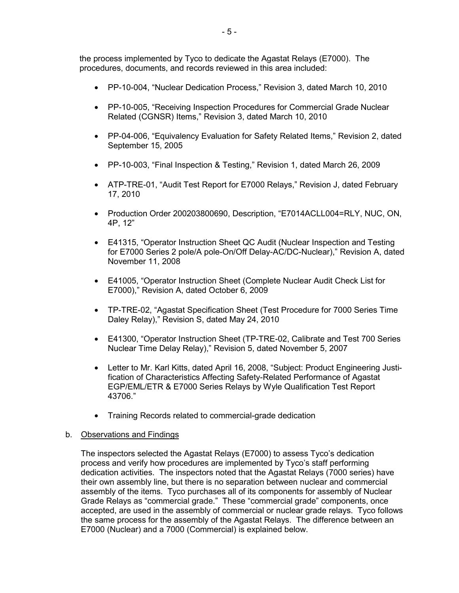the process implemented by Tyco to dedicate the Agastat Relays (E7000). The procedures, documents, and records reviewed in this area included:

- PP-10-004, "Nuclear Dedication Process," Revision 3, dated March 10, 2010
- PP-10-005, "Receiving Inspection Procedures for Commercial Grade Nuclear Related (CGNSR) Items," Revision 3, dated March 10, 2010
- PP-04-006, "Equivalency Evaluation for Safety Related Items," Revision 2, dated September 15, 2005
- PP-10-003, "Final Inspection & Testing," Revision 1, dated March 26, 2009
- ATP-TRE-01, "Audit Test Report for E7000 Relays," Revision J, dated February 17, 2010
- Production Order 200203800690, Description, "E7014ACLL004=RLY, NUC, ON, 4P, 12"
- E41315, "Operator Instruction Sheet QC Audit (Nuclear Inspection and Testing for E7000 Series 2 pole/A pole-On/Off Delay-AC/DC-Nuclear)," Revision A, dated November 11, 2008
- E41005, "Operator Instruction Sheet (Complete Nuclear Audit Check List for E7000)," Revision A, dated October 6, 2009
- TP-TRE-02, "Agastat Specification Sheet (Test Procedure for 7000 Series Time Daley Relay)," Revision S, dated May 24, 2010
- E41300, "Operator Instruction Sheet (TP-TRE-02, Calibrate and Test 700 Series Nuclear Time Delay Relay)," Revision 5, dated November 5, 2007
- Letter to Mr. Karl Kitts, dated April 16, 2008, "Subject: Product Engineering Justification of Characteristics Affecting Safety-Related Performance of Agastat EGP/EML/ETR & E7000 Series Relays by Wyle Qualification Test Report 43706."
- Training Records related to commercial-grade dedication

#### b. Observations and Findings

The inspectors selected the Agastat Relays (E7000) to assess Tyco's dedication process and verify how procedures are implemented by Tyco's staff performing dedication activities. The inspectors noted that the Agastat Relays (7000 series) have their own assembly line, but there is no separation between nuclear and commercial assembly of the items. Tyco purchases all of its components for assembly of Nuclear Grade Relays as "commercial grade." These "commercial grade" components, once accepted, are used in the assembly of commercial or nuclear grade relays. Tyco follows the same process for the assembly of the Agastat Relays. The difference between an E7000 (Nuclear) and a 7000 (Commercial) is explained below.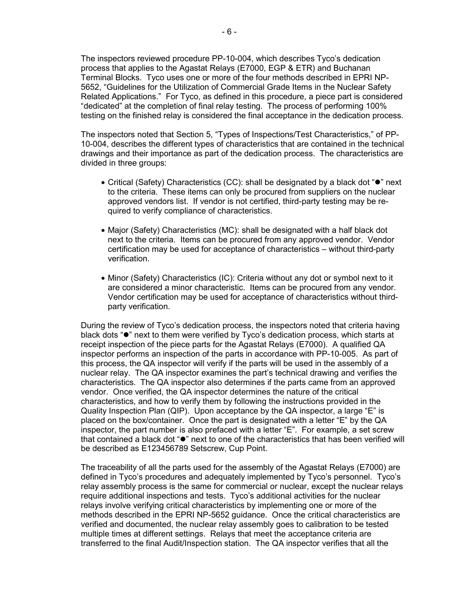The inspectors reviewed procedure PP-10-004, which describes Tyco's dedication process that applies to the Agastat Relays (E7000, EGP & ETR) and Buchanan Terminal Blocks. Tyco uses one or more of the four methods described in EPRI NP-5652, "Guidelines for the Utilization of Commercial Grade Items in the Nuclear Safety Related Applications." For Tyco, as defined in this procedure, a piece part is considered "dedicated" at the completion of final relay testing. The process of performing 100% testing on the finished relay is considered the final acceptance in the dedication process.

The inspectors noted that Section 5, "Types of Inspections/Test Characteristics," of PP-10-004, describes the different types of characteristics that are contained in the technical drawings and their importance as part of the dedication process. The characteristics are divided in three groups:

- Critical (Safety) Characteristics (CC): shall be designated by a black dot " $\bullet$ " next to the criteria. These items can only be procured from suppliers on the nuclear approved vendors list. If vendor is not certified, third-party testing may be required to verify compliance of characteristics.
- Major (Safety) Characteristics (MC): shall be designated with a half black dot next to the criteria. Items can be procured from any approved vendor. Vendor certification may be used for acceptance of characteristics – without third-party verification.
- Minor (Safety) Characteristics (IC): Criteria without any dot or symbol next to it are considered a minor characteristic. Items can be procured from any vendor. Vendor certification may be used for acceptance of characteristics without thirdparty verification.

During the review of Tyco's dedication process, the inspectors noted that criteria having black dots " $\bullet$ " next to them were verified by Tyco's dedication process, which starts at receipt inspection of the piece parts for the Agastat Relays (E7000). A qualified QA inspector performs an inspection of the parts in accordance with PP-10-005. As part of this process, the QA inspector will verify if the parts will be used in the assembly of a nuclear relay. The QA inspector examines the part's technical drawing and verifies the characteristics. The QA inspector also determines if the parts came from an approved vendor. Once verified, the QA inspector determines the nature of the critical characteristics, and how to verify them by following the instructions provided in the Quality Inspection Plan (QIP). Upon acceptance by the QA inspector, a large "E" is placed on the box/container. Once the part is designated with a letter "E" by the QA inspector, the part number is also prefaced with a letter "E". For example, a set screw that contained a black dot " $\bullet$ " next to one of the characteristics that has been verified will be described as E123456789 Setscrew, Cup Point.

The traceability of all the parts used for the assembly of the Agastat Relays (E7000) are defined in Tyco's procedures and adequately implemented by Tyco's personnel. Tyco's relay assembly process is the same for commercial or nuclear, except the nuclear relays require additional inspections and tests. Tyco's additional activities for the nuclear relays involve verifying critical characteristics by implementing one or more of the methods described in the EPRI NP-5652 guidance. Once the critical characteristics are verified and documented, the nuclear relay assembly goes to calibration to be tested multiple times at different settings. Relays that meet the acceptance criteria are transferred to the final Audit/Inspection station. The QA inspector verifies that all the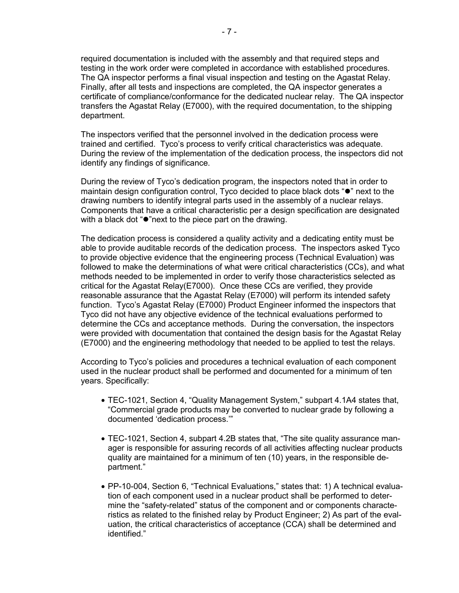required documentation is included with the assembly and that required steps and testing in the work order were completed in accordance with established procedures. The QA inspector performs a final visual inspection and testing on the Agastat Relay. Finally, after all tests and inspections are completed, the QA inspector generates a certificate of compliance/conformance for the dedicated nuclear relay. The QA inspector transfers the Agastat Relay (E7000), with the required documentation, to the shipping department.

The inspectors verified that the personnel involved in the dedication process were trained and certified. Tyco's process to verify critical characteristics was adequate. During the review of the implementation of the dedication process, the inspectors did not identify any findings of significance.

During the review of Tyco's dedication program, the inspectors noted that in order to maintain design configuration control, Tyco decided to place black dots " $\bullet$ " next to the drawing numbers to identify integral parts used in the assembly of a nuclear relays. Components that have a critical characteristic per a design specification are designated with a black dot " $\bullet$ "next to the piece part on the drawing.

The dedication process is considered a quality activity and a dedicating entity must be able to provide auditable records of the dedication process. The inspectors asked Tyco to provide objective evidence that the engineering process (Technical Evaluation) was followed to make the determinations of what were critical characteristics (CCs), and what methods needed to be implemented in order to verify those characteristics selected as critical for the Agastat Relay(E7000). Once these CCs are verified, they provide reasonable assurance that the Agastat Relay (E7000) will perform its intended safety function. Tyco's Agastat Relay (E7000) Product Engineer informed the inspectors that Tyco did not have any objective evidence of the technical evaluations performed to determine the CCs and acceptance methods. During the conversation, the inspectors were provided with documentation that contained the design basis for the Agastat Relay (E7000) and the engineering methodology that needed to be applied to test the relays.

According to Tyco's policies and procedures a technical evaluation of each component used in the nuclear product shall be performed and documented for a minimum of ten years. Specifically:

- TEC-1021, Section 4, "Quality Management System," subpart 4.1A4 states that, "Commercial grade products may be converted to nuclear grade by following a documented 'dedication process.'"
- TEC-1021, Section 4, subpart 4.2B states that, "The site quality assurance manager is responsible for assuring records of all activities affecting nuclear products quality are maintained for a minimum of ten (10) years, in the responsible department."
- PP-10-004, Section 6, "Technical Evaluations," states that: 1) A technical evaluation of each component used in a nuclear product shall be performed to determine the "safety-related" status of the component and or components characteristics as related to the finished relay by Product Engineer; 2) As part of the evaluation, the critical characteristics of acceptance (CCA) shall be determined and identified."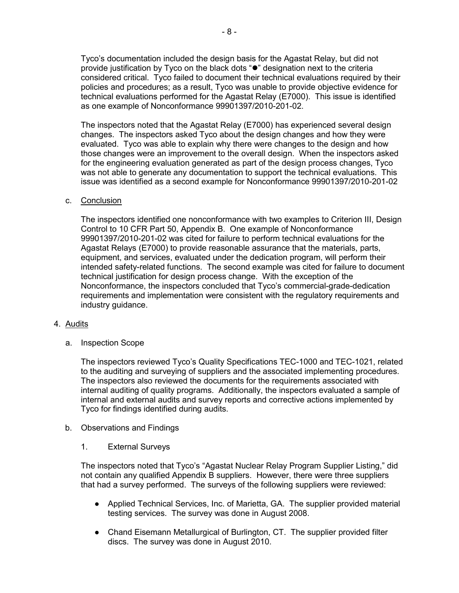Tyco's documentation included the design basis for the Agastat Relay, but did not provide justification by Tyco on the black dots " $\bullet$ " designation next to the criteria considered critical. Tyco failed to document their technical evaluations required by their policies and procedures; as a result, Tyco was unable to provide objective evidence for technical evaluations performed for the Agastat Relay (E7000). This issue is identified as one example of Nonconformance 99901397/2010-201-02.

The inspectors noted that the Agastat Relay (E7000) has experienced several design changes. The inspectors asked Tyco about the design changes and how they were evaluated. Tyco was able to explain why there were changes to the design and how those changes were an improvement to the overall design. When the inspectors asked for the engineering evaluation generated as part of the design process changes, Tyco was not able to generate any documentation to support the technical evaluations. This issue was identified as a second example for Nonconformance 99901397/2010-201-02

## c. Conclusion

The inspectors identified one nonconformance with two examples to Criterion III, Design Control to 10 CFR Part 50, Appendix B. One example of Nonconformance 99901397/2010-201-02 was cited for failure to perform technical evaluations for the Agastat Relays (E7000) to provide reasonable assurance that the materials, parts, equipment, and services, evaluated under the dedication program, will perform their intended safety-related functions. The second example was cited for failure to document technical justification for design process change. With the exception of the Nonconformance, the inspectors concluded that Tyco's commercial-grade-dedication requirements and implementation were consistent with the regulatory requirements and industry guidance.

## 4. Audits

a. Inspection Scope

The inspectors reviewed Tyco's Quality Specifications TEC-1000 and TEC-1021, related to the auditing and surveying of suppliers and the associated implementing procedures. The inspectors also reviewed the documents for the requirements associated with internal auditing of quality programs. Additionally, the inspectors evaluated a sample of internal and external audits and survey reports and corrective actions implemented by Tyco for findings identified during audits.

## b. Observations and Findings

1. External Surveys

The inspectors noted that Tyco's "Agastat Nuclear Relay Program Supplier Listing," did not contain any qualified Appendix B suppliers. However, there were three suppliers that had a survey performed. The surveys of the following suppliers were reviewed:

- Applied Technical Services, Inc. of Marietta, GA. The supplier provided material testing services. The survey was done in August 2008.
- Chand Eisemann Metallurgical of Burlington, CT. The supplier provided filter discs. The survey was done in August 2010.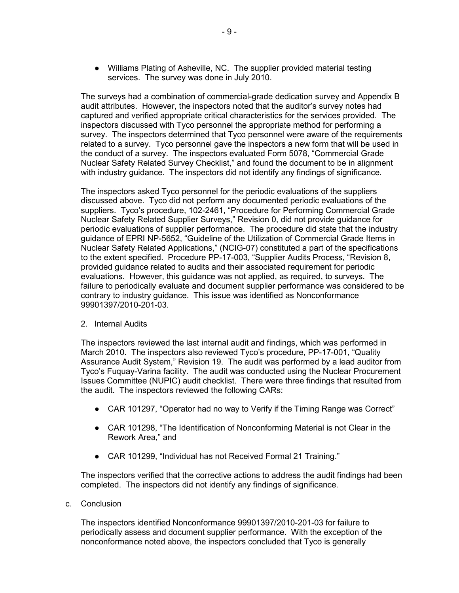● Williams Plating of Asheville, NC. The supplier provided material testing services. The survey was done in July 2010.

The surveys had a combination of commercial-grade dedication survey and Appendix B audit attributes. However, the inspectors noted that the auditor's survey notes had captured and verified appropriate critical characteristics for the services provided. The inspectors discussed with Tyco personnel the appropriate method for performing a survey. The inspectors determined that Tyco personnel were aware of the requirements related to a survey. Tyco personnel gave the inspectors a new form that will be used in the conduct of a survey. The inspectors evaluated Form 5078, "Commercial Grade Nuclear Safety Related Survey Checklist," and found the document to be in alignment with industry guidance. The inspectors did not identify any findings of significance.

The inspectors asked Tyco personnel for the periodic evaluations of the suppliers discussed above. Tyco did not perform any documented periodic evaluations of the suppliers. Tyco's procedure, 102-2461, "Procedure for Performing Commercial Grade Nuclear Safety Related Supplier Surveys," Revision 0, did not provide guidance for periodic evaluations of supplier performance. The procedure did state that the industry guidance of EPRI NP-5652, "Guideline of the Utilization of Commercial Grade Items in Nuclear Safety Related Applications," (NCIG-07) constituted a part of the specifications to the extent specified. Procedure PP-17-003, "Supplier Audits Process, "Revision 8, provided guidance related to audits and their associated requirement for periodic evaluations. However, this guidance was not applied, as required, to surveys. The failure to periodically evaluate and document supplier performance was considered to be contrary to industry guidance. This issue was identified as Nonconformance 99901397/2010-201-03.

# 2. Internal Audits

The inspectors reviewed the last internal audit and findings, which was performed in March 2010. The inspectors also reviewed Tyco's procedure, PP-17-001, "Quality Assurance Audit System," Revision 19. The audit was performed by a lead auditor from Tyco's Fuquay-Varina facility. The audit was conducted using the Nuclear Procurement Issues Committee (NUPIC) audit checklist. There were three findings that resulted from the audit. The inspectors reviewed the following CARs:

- CAR 101297, "Operator had no way to Verify if the Timing Range was Correct"
- CAR 101298, "The Identification of Nonconforming Material is not Clear in the Rework Area," and
- CAR 101299, "Individual has not Received Formal 21 Training."

The inspectors verified that the corrective actions to address the audit findings had been completed. The inspectors did not identify any findings of significance.

## c. Conclusion

The inspectors identified Nonconformance 99901397/2010-201-03 for failure to periodically assess and document supplier performance. With the exception of the nonconformance noted above, the inspectors concluded that Tyco is generally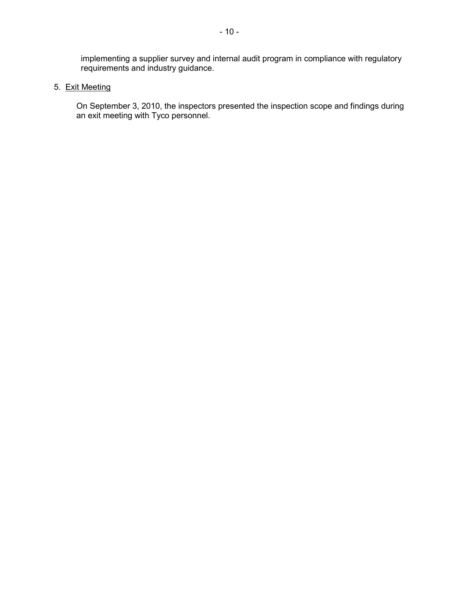implementing a supplier survey and internal audit program in compliance with regulatory requirements and industry guidance.

# 5. Exit Meeting

On September 3, 2010, the inspectors presented the inspection scope and findings during an exit meeting with Tyco personnel.